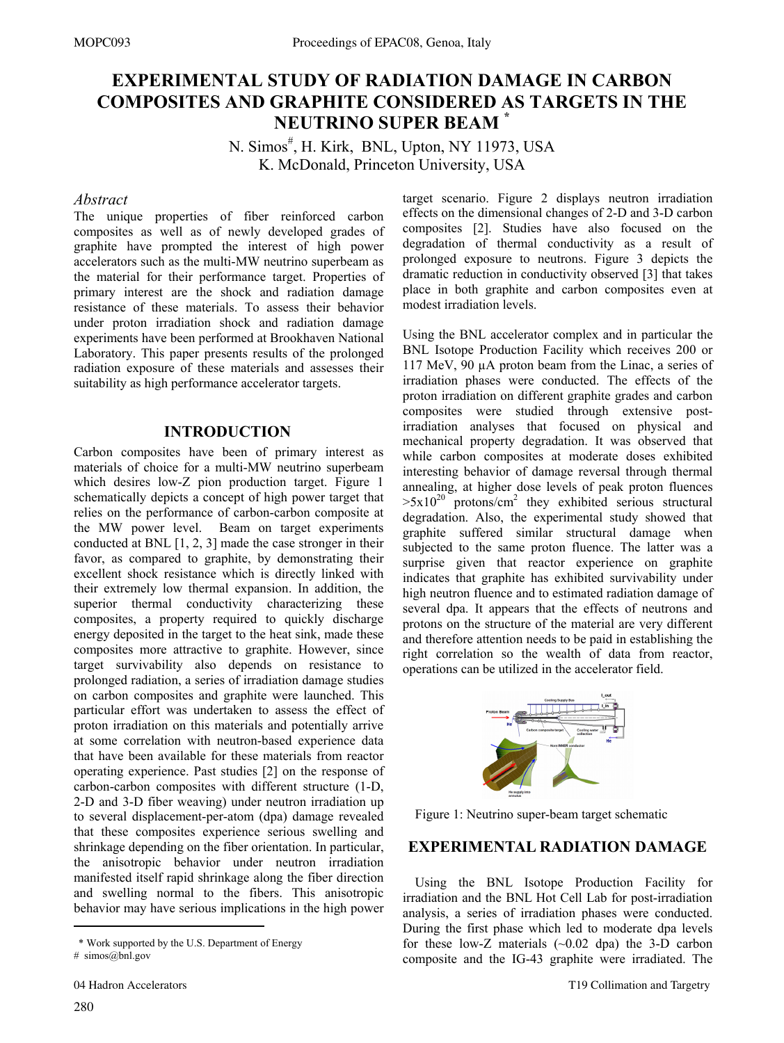# **EXPERIMENTAL STUDY OF RADIATION DAMAGE IN CARBON COMPOSITES AND GRAPHITE CONSIDERED AS TARGETS IN THE NEUTRINO SUPER BEAM \***

N. Simos<sup>#</sup>, H. Kirk, BNL, Upton, NY 11973, USA K. McDonald, Princeton University, USA

## *Abstract*

The unique properties of fiber reinforced carbon composites as well as of newly developed grades of graphite have prompted the interest of high power accelerators such as the multi-MW neutrino superbeam as the material for their performance target. Properties of primary interest are the shock and radiation damage resistance of these materials. To assess their behavior under proton irradiation shock and radiation damage experiments have been performed at Brookhaven National Laboratory. This paper presents results of the prolonged radiation exposure of these materials and assesses their suitability as high performance accelerator targets.

# **INTRODUCTION**

Carbon composites have been of primary interest as materials of choice for a multi-MW neutrino superbeam which desires low-Z pion production target. Figure 1 schematically depicts a concept of high power target that relies on the performance of carbon-carbon composite at the MW power level. Beam on target experiments conducted at BNL [1, 2, 3] made the case stronger in their favor, as compared to graphite, by demonstrating their excellent shock resistance which is directly linked with their extremely low thermal expansion. In addition, the superior thermal conductivity characterizing these composites, a property required to quickly discharge energy deposited in the target to the heat sink, made these composites more attractive to graphite. However, since target survivability also depends on resistance to prolonged radiation, a series of irradiation damage studies on carbon composites and graphite were launched. This particular effort was undertaken to assess the effect of proton irradiation on this materials and potentially arrive at some correlation with neutron-based experience data that have been available for these materials from reactor operating experience. Past studies [2] on the response of carbon-carbon composites with different structure (1-D, 2-D and 3-D fiber weaving) under neutron irradiation up to several displacement-per-atom (dpa) damage revealed that these composites experience serious swelling and shrinkage depending on the fiber orientation. In particular, the anisotropic behavior under neutron irradiation manifested itself rapid shrinkage along the fiber direction and swelling normal to the fibers. This anisotropic behavior may have serious implications in the high power  $\overline{a}$ 

target scenario. Figure 2 displays neutron irradiation effects on the dimensional changes of 2-D and 3-D carbon composites [2]. Studies have also focused on the degradation of thermal conductivity as a result of prolonged exposure to neutrons. Figure 3 depicts the dramatic reduction in conductivity observed [3] that takes place in both graphite and carbon composites even at modest irradiation levels.

Using the BNL accelerator complex and in particular the BNL Isotope Production Facility which receives 200 or 117 MeV, 90 µA proton beam from the Linac, a series of irradiation phases were conducted. The effects of the proton irradiation on different graphite grades and carbon composites were studied through extensive postirradiation analyses that focused on physical and mechanical property degradation. It was observed that while carbon composites at moderate doses exhibited interesting behavior of damage reversal through thermal annealing, at higher dose levels of peak proton fluences  $>5x10^{20}$  protons/cm<sup>2</sup> they exhibited serious structural degradation. Also, the experimental study showed that graphite suffered similar structural damage when subjected to the same proton fluence. The latter was a surprise given that reactor experience on graphite indicates that graphite has exhibited survivability under high neutron fluence and to estimated radiation damage of several dpa. It appears that the effects of neutrons and protons on the structure of the material are very different and therefore attention needs to be paid in establishing the right correlation so the wealth of data from reactor, operations can be utilized in the accelerator field.



Figure 1: Neutrino super-beam target schematic

## **EXPERIMENTAL RADIATION DAMAGE**

Using the BNL Isotope Production Facility for irradiation and the BNL Hot Cell Lab for post-irradiation analysis, a series of irradiation phases were conducted. During the first phase which led to moderate dpa levels for these low-Z materials  $(\sim 0.02$  dpa) the 3-D carbon composite and the IG-43 graphite were irradiated. The

 <sup>\*</sup> Work supported by the U.S. Department of Energy

<sup>#</sup> simos@bnl.gov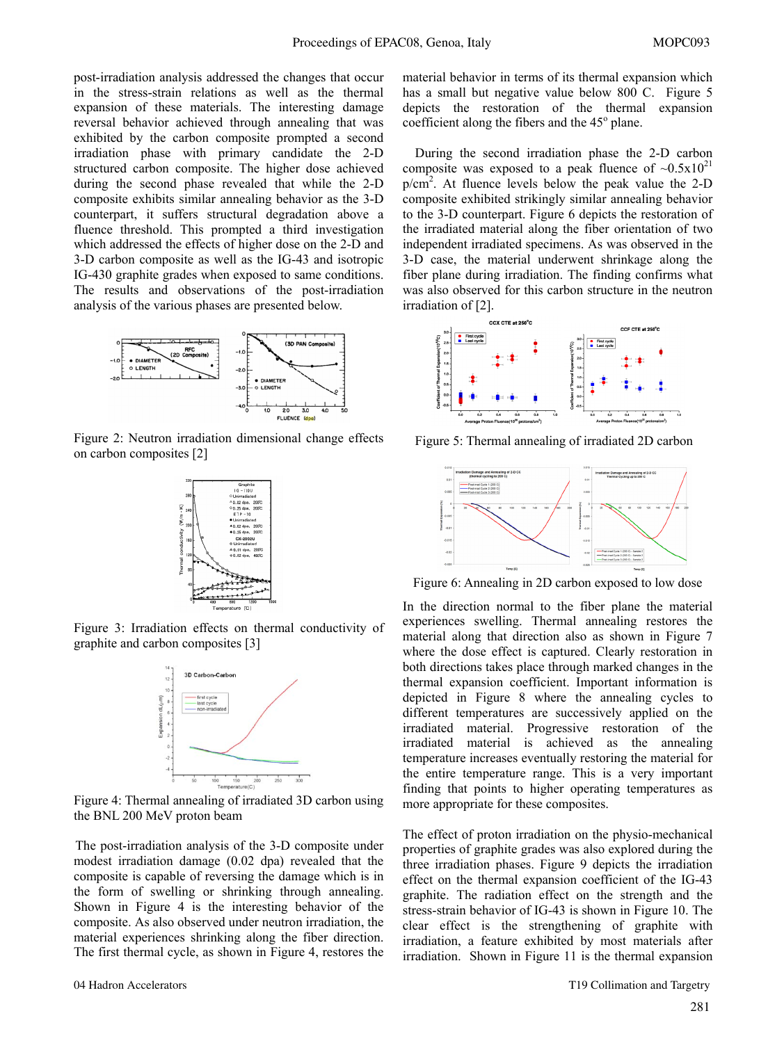post-irradiation analysis addressed the changes that occur in the stress-strain relations as well as the thermal expansion of these materials. The interesting damage reversal behavior achieved through annealing that was exhibited by the carbon composite prompted a second irradiation phase with primary candidate the 2-D structured carbon composite. The higher dose achieved during the second phase revealed that while the 2-D composite exhibits similar annealing behavior as the 3-D counterpart, it suffers structural degradation above a fluence threshold. This prompted a third investigation which addressed the effects of higher dose on the 2-D and 3-D carbon composite as well as the IG-43 and isotropic IG-430 graphite grades when exposed to same conditions. The results and observations of the post-irradiation analysis of the various phases are presented below.



Figure 2: Neutron irradiation dimensional change effects on carbon composites [2]



Figure 3: Irradiation effects on thermal conductivity of graphite and carbon composites [3]



Figure 4: Thermal annealing of irradiated 3D carbon using the BNL 200 MeV proton beam

The post-irradiation analysis of the 3-D composite under modest irradiation damage (0.02 dpa) revealed that the composite is capable of reversing the damage which is in the form of swelling or shrinking through annealing. Shown in Figure 4 is the interesting behavior of the composite. As also observed under neutron irradiation, the material experiences shrinking along the fiber direction. The first thermal cycle, as shown in Figure 4, restores the

During the second irradiation phase the 2-D carbon composite was exposed to a peak fluence of  $\sim 0.5x10^{21}$  $p/cm<sup>2</sup>$ . At fluence levels below the peak value the 2-D composite exhibited strikingly similar annealing behavior to the 3-D counterpart. Figure 6 depicts the restoration of the irradiated material along the fiber orientation of two independent irradiated specimens. As was observed in the 3-D case, the material underwent shrinkage along the fiber plane during irradiation. The finding confirms what was also observed for this carbon structure in the neutron irradiation of [2].



Figure 5: Thermal annealing of irradiated 2D carbon



Figure 6: Annealing in 2D carbon exposed to low dose

In the direction normal to the fiber plane the material experiences swelling. Thermal annealing restores the material along that direction also as shown in Figure 7 where the dose effect is captured. Clearly restoration in both directions takes place through marked changes in the thermal expansion coefficient. Important information is depicted in Figure 8 where the annealing cycles to different temperatures are successively applied on the irradiated material. Progressive restoration of the irradiated material is achieved as the annealing temperature increases eventually restoring the material for the entire temperature range. This is a very important finding that points to higher operating temperatures as more appropriate for these composites.

The effect of proton irradiation on the physio-mechanical properties of graphite grades was also explored during the three irradiation phases. Figure 9 depicts the irradiation effect on the thermal expansion coefficient of the IG-43 graphite. The radiation effect on the strength and the stress-strain behavior of IG-43 is shown in Figure 10. The clear effect is the strengthening of graphite with irradiation, a feature exhibited by most materials after irradiation. Shown in Figure 11 is the thermal expansion